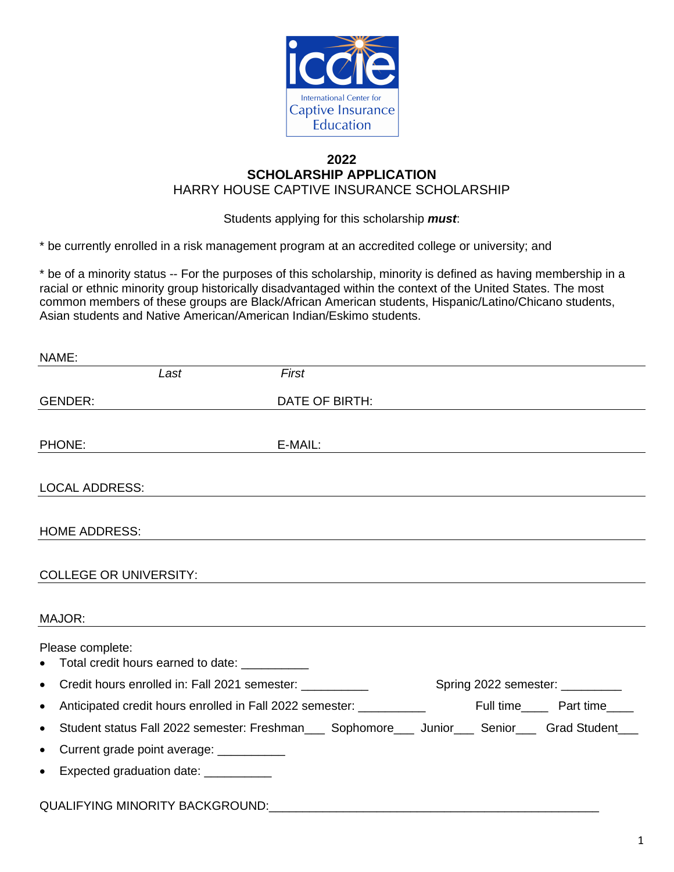

## **2022 SCHOLARSHIP APPLICATION** HARRY HOUSE CAPTIVE INSURANCE SCHOLARSHIP

Students applying for this scholarship *must*:

\* be currently enrolled in a risk management program at an accredited college or university; and

\* be of a minority status -- For the purposes of this scholarship, minority is defined as having membership in a racial or ethnic minority group historically disadvantaged within the context of the United States. The most common members of these groups are Black/African American students, Hispanic/Latino/Chicano students, Asian students and Native American/American Indian/Eskimo students.

| NAME:                                                                             |                |                                                                                                         |
|-----------------------------------------------------------------------------------|----------------|---------------------------------------------------------------------------------------------------------|
| Last                                                                              | First          |                                                                                                         |
| <b>GENDER:</b>                                                                    | DATE OF BIRTH: |                                                                                                         |
|                                                                                   |                |                                                                                                         |
| PHONE:                                                                            | E-MAIL:        |                                                                                                         |
| <b>LOCAL ADDRESS:</b>                                                             |                |                                                                                                         |
|                                                                                   |                |                                                                                                         |
| <b>HOME ADDRESS:</b>                                                              |                |                                                                                                         |
| <b>COLLEGE OR UNIVERSITY:</b>                                                     |                |                                                                                                         |
| MAJOR:                                                                            |                |                                                                                                         |
| Please complete:<br>Total credit hours earned to date: ___________<br>$\bullet$   |                |                                                                                                         |
| Credit hours enrolled in: Fall 2021 semester:<br>$\bullet$                        |                | Spring 2022 semester: _________                                                                         |
| Anticipated credit hours enrolled in Fall 2022 semester: ___________<br>$\bullet$ |                | Full time_______ Part time_____                                                                         |
| $\bullet$                                                                         |                | Student status Fall 2022 semester: Freshman_____ Sophomore_____ Junior____ Senior_____ Grad Student____ |
| Current grade point average: ___________<br>$\bullet$                             |                |                                                                                                         |
| Expected graduation date: ___________<br>$\bullet$                                |                |                                                                                                         |
| <b>QUALIFYING MINORITY BACKGROUND:</b>                                            |                |                                                                                                         |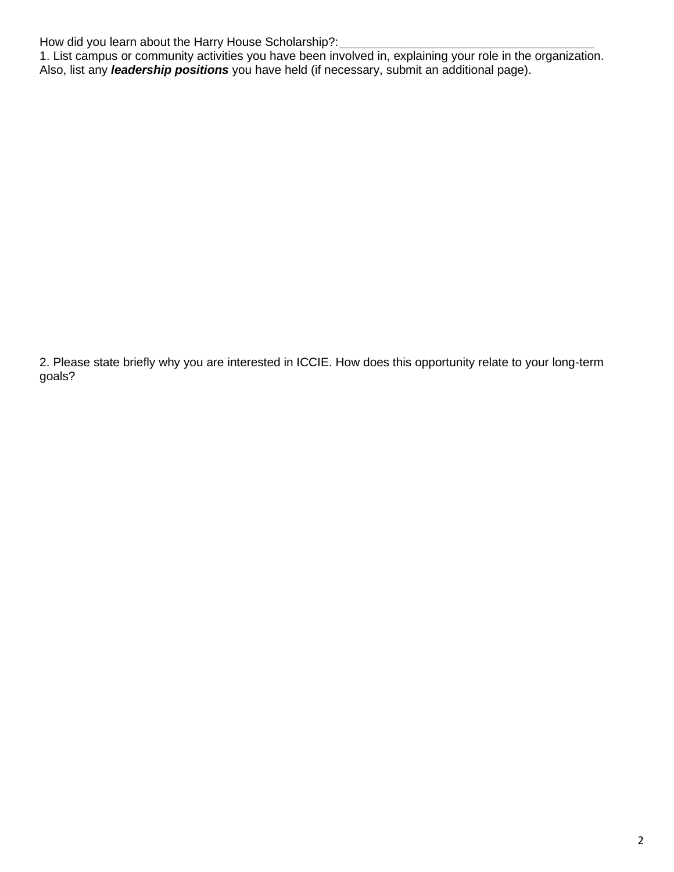How did you learn about the Harry House Scholarship?:

1. List campus or community activities you have been involved in, explaining your role in the organization. Also, list any *leadership positions* you have held (if necessary, submit an additional page).

2. Please state briefly why you are interested in ICCIE. How does this opportunity relate to your long-term goals?